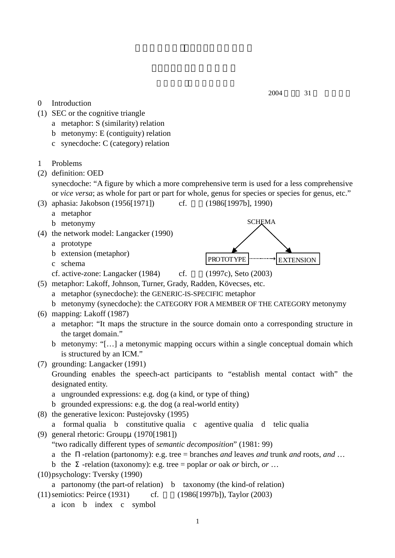## 2004 31

- 0 Introduction
- (1) SEC or the cognitive triangle
	- a metaphor: S (similarity) relation
	- b metonymy: E (contiguity) relation
	- c synecdoche: C (category) relation
- 1 Problems
- (2) definition: OED
	- synecdoche: "A figure by which a more comprehensive term is used for a less comprehensive or *vice versa*; as whole for part or part for whole, genus for species or species for genus, etc."
- (3) aphasia: Jakobson (1956[1971]) cf. (1986[1997b], 1990)
	- a metaphor
	- b metonymy
- (4) the network model: Langacker (1990)
	- a prototype
	- b extension (metaphor)
	- c schema
	- cf. active-zone: Langacker  $(1984)$  cf.  $(1997c)$ , Seto  $(2003)$
- (5) metaphor: Lakoff, Johnson, Turner, Grady, Radden, Kövecses, etc.
	- a metaphor (synecdoche): the GENERIC-IS-SPECIFIC metaphor
	- b metonymy (synecdoche): the CATEGORY FOR A MEMBER OF THE CATEGORY metonymy
- (6) mapping: Lakoff (1987)
	- a metaphor: "It maps the structure in the source domain onto a corresponding structure in the target domain."
	- b metonymy: "[…] a metonymic mapping occurs within a single conceptual domain which is structured by an ICM."
- (7) grounding: Langacker (1991)
	- Grounding enables the speech-act participants to "establish mental contact with" the designated entity.
	- a ungrounded expressions: e.g. dog (a kind, or type of thing)
	- b grounded expressions: e.g. the dog (a real-world entity)
- (8) the generative lexicon: Pustejovsky (1995)
	- a formal qualia b constitutive qualia c agentive qualia d telic qualia
- (9) general rhetoric: Groupμ(1970[1981])

"two radically different types of *semantic decomposition*" (1981: 99)

- a the -relation (partonomy): e.g. tree = branches *and* leaves *and* trunk *and* roots, *and* …
- b the -relation (taxonomy): e.g. tree = poplar *or* oak *or* birch, *or* …
- (10) psychology: Tversky (1990)
- a partonomy (the part-of relation) b taxonomy (the kind-of relation)
- (11) semiotics: Peirce (1931) cf. (1986[1997b]), Taylor (2003)
	- a icon b index c symbol



**SCHEMA** PROTOTYPE **EXTENSION**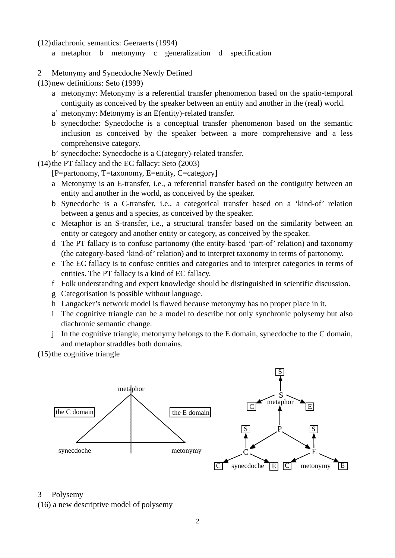(12) diachronic semantics: Geeraerts (1994)

- a metaphor b metonymy c generalization d specification
- 2 Metonymy and Synecdoche Newly Defined

(13) new definitions: Seto (1999)

- a metonymy: Metonymy is a referential transfer phenomenon based on the spatio-temporal contiguity as conceived by the speaker between an entity and another in the (real) world.
- a' metonymy: Metonymy is an E(entity)-related transfer.
- b synecdoche: Synecdoche is a conceptual transfer phenomenon based on the semantic inclusion as conceived by the speaker between a more comprehensive and a less comprehensive category.
- b' synecdoche: Synecdoche is a C(ategory)-related transfer.
- (14) the PT fallacy and the EC fallacy: Seto (2003)
	- [P=partonomy, T=taxonomy, E=entity, C=category]
	- a Metonymy is an E-transfer, i.e., a referential transfer based on the contiguity between an entity and another in the world, as conceived by the speaker.
	- b Synecdoche is a C-transfer, i.e., a categorical transfer based on a 'kind-of' relation between a genus and a species, as conceived by the speaker.
	- c Metaphor is an S-transfer, i.e., a structural transfer based on the similarity between an entity or category and another entity or category, as conceived by the speaker.
	- d The PT fallacy is to confuse partonomy (the entity-based 'part-of' relation) and taxonomy (the category-based 'kind-of' relation) and to interpret taxonomy in terms of partonomy.
	- e The EC fallacy is to confuse entities and categories and to interpret categories in terms of entities. The PT fallacy is a kind of EC fallacy.
	- f Folk understanding and expert knowledge should be distinguished in scientific discussion.
	- g Categorisation is possible without language.
	- h Langacker's network model is flawed because metonymy has no proper place in it.
	- i The cognitive triangle can be a model to describe not only synchronic polysemy but also diachronic semantic change.
	- j In the cognitive triangle, metonymy belongs to the E domain, synecdoche to the C domain, and metaphor straddles both domains.

(15) the cognitive triangle



3 Polysemy

(16) a new descriptive model of polysemy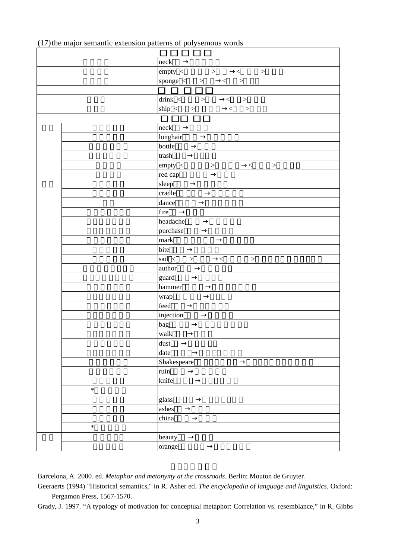|  |  |  | (17) the major semantic extension patterns of polysemous words |  |  |
|--|--|--|----------------------------------------------------------------|--|--|
|  |  |  |                                                                |  |  |

|        | neck                                            |
|--------|-------------------------------------------------|
|        | $empty < \longrightarrow$<br>$\,<\,$<br>$\,>$   |
|        | sponge $\langle \rangle$<br>$\,>$<br>$\,<\,$    |
|        |                                                 |
|        | $drink <$ ><br>$\qquad \qquad <\qquad \qquad >$ |
|        | $\sin p \leq$<br>$\,<\,$<br>$>$                 |
|        |                                                 |
|        | neck                                            |
|        | longhair                                        |
|        | bottle                                          |
|        | trash                                           |
|        | empty <<br>$\, >$<br>$\lt$<br>$\,>$             |
|        | red cap                                         |
|        | sleep                                           |
|        | cradle                                          |
|        | dance                                           |
|        | fire                                            |
|        | headache                                        |
|        | purchase                                        |
|        | mark                                            |
|        | bite                                            |
|        | sad $\langle$<br>$>$ $\,$<br>$\lt$<br>$\,>$     |
|        | author                                          |
|        | guard                                           |
|        | hammer                                          |
|        | wrap                                            |
|        | feed                                            |
|        | injection                                       |
|        | bag                                             |
|        | walk                                            |
|        | dust                                            |
|        | date                                            |
|        | Shakespeare                                     |
|        | ruin                                            |
|        | knife                                           |
| $\ast$ |                                                 |
|        | glass                                           |
|        | ${\rm ashes}$                                   |
|        |                                                 |
| $\ast$ | china                                           |
|        |                                                 |
|        | beauty                                          |
|        | orange                                          |

Barcelona, A. 2000. ed. *Metaphor and metonymy at the crossroads*. Berlin: Mouton de Gruyter.

Geeraerts (1994) "Historical semantics," in R. Asher ed. *The encyclopedia of language and linguistics*. Oxford: Pergamon Press, 1567-1570.

Grady, J. 1997. "A typology of motivation for conceptual metaphor: Correlation vs. resemblance," in R. Gibbs